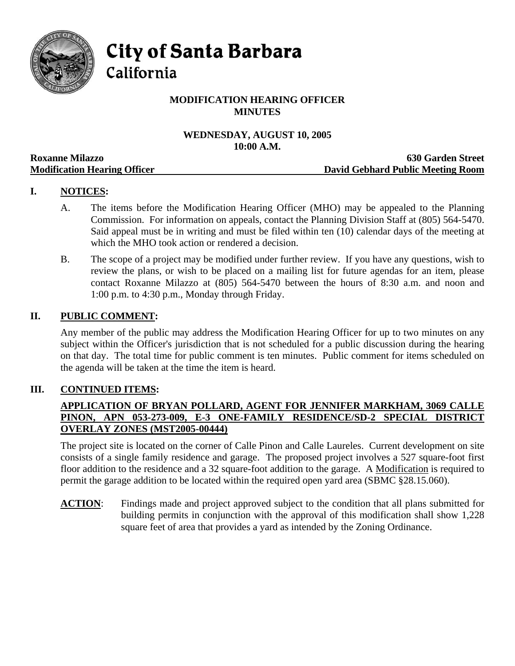

**City of Santa Barbara** 

California

# **MODIFICATION HEARING OFFICER MINUTES**

# **WEDNESDAY, AUGUST 10, 2005 10:00 A.M.**

|                                     | TAYAA TIRTAYIY                    |
|-------------------------------------|-----------------------------------|
| <b>Roxanne Milazzo</b>              | <b>630 Garden Street</b>          |
| <b>Modification Hearing Officer</b> | David Gebhard Public Meeting Room |

## **I. NOTICES:**

- A. The items before the Modification Hearing Officer (MHO) may be appealed to the Planning Commission. For information on appeals, contact the Planning Division Staff at (805) 564-5470. Said appeal must be in writing and must be filed within ten (10) calendar days of the meeting at which the MHO took action or rendered a decision.
- B. The scope of a project may be modified under further review. If you have any questions, wish to review the plans, or wish to be placed on a mailing list for future agendas for an item, please contact Roxanne Milazzo at (805) 564-5470 between the hours of 8:30 a.m. and noon and 1:00 p.m. to 4:30 p.m., Monday through Friday.

### **II. PUBLIC COMMENT:**

Any member of the public may address the Modification Hearing Officer for up to two minutes on any subject within the Officer's jurisdiction that is not scheduled for a public discussion during the hearing on that day. The total time for public comment is ten minutes. Public comment for items scheduled on the agenda will be taken at the time the item is heard.

### **III. CONTINUED ITEMS:**

## **APPLICATION OF BRYAN POLLARD, AGENT FOR JENNIFER MARKHAM, 3069 CALLE PINON, APN 053-273-009, E-3 ONE-FAMILY RESIDENCE/SD-2 SPECIAL DISTRICT OVERLAY ZONES (MST2005-00444)**

The project site is located on the corner of Calle Pinon and Calle Laureles. Current development on site consists of a single family residence and garage. The proposed project involves a 527 square-foot first floor addition to the residence and a 32 square-foot addition to the garage. A Modification is required to permit the garage addition to be located within the required open yard area (SBMC §28.15.060).

**ACTION:** Findings made and project approved subject to the condition that all plans submitted for building permits in conjunction with the approval of this modification shall show 1,228 square feet of area that provides a yard as intended by the Zoning Ordinance.